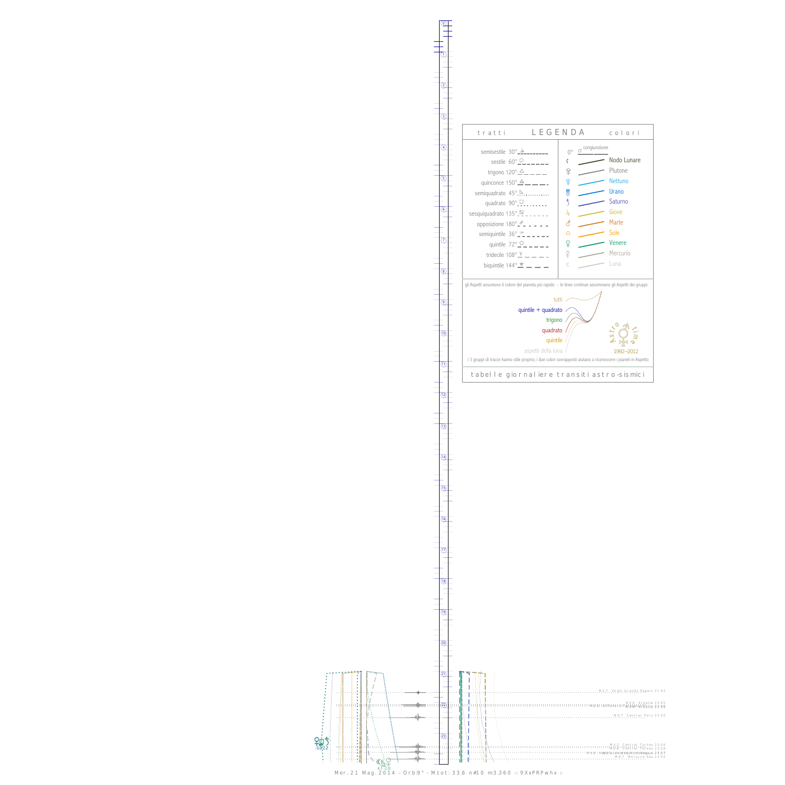0

1



13